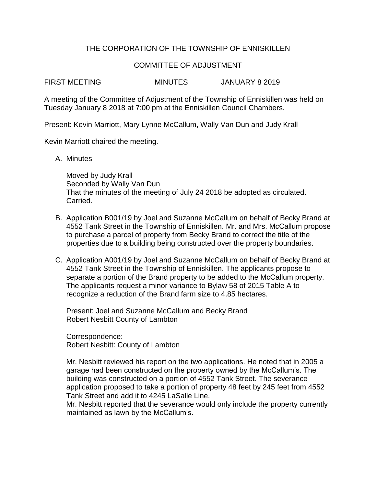# THE CORPORATION OF THE TOWNSHIP OF ENNISKILLEN

### COMMITTEE OF ADJUSTMENT

FIRST MEETING MINUTES JANUARY 8 2019

A meeting of the Committee of Adjustment of the Township of Enniskillen was held on Tuesday January 8 2018 at 7:00 pm at the Enniskillen Council Chambers.

Present: Kevin Marriott, Mary Lynne McCallum, Wally Van Dun and Judy Krall

Kevin Marriott chaired the meeting.

A. Minutes

Moved by Judy Krall Seconded by Wally Van Dun That the minutes of the meeting of July 24 2018 be adopted as circulated. Carried.

- B. Application B001/19 by Joel and Suzanne McCallum on behalf of Becky Brand at 4552 Tank Street in the Township of Enniskillen. Mr. and Mrs. McCallum propose to purchase a parcel of property from Becky Brand to correct the title of the properties due to a building being constructed over the property boundaries.
- C. Application A001/19 by Joel and Suzanne McCallum on behalf of Becky Brand at 4552 Tank Street in the Township of Enniskillen. The applicants propose to separate a portion of the Brand property to be added to the McCallum property. The applicants request a minor variance to Bylaw 58 of 2015 Table A to recognize a reduction of the Brand farm size to 4.85 hectares.

Present: Joel and Suzanne McCallum and Becky Brand Robert Nesbitt County of Lambton

Correspondence: Robert Nesbitt: County of Lambton

Mr. Nesbitt reviewed his report on the two applications. He noted that in 2005 a garage had been constructed on the property owned by the McCallum's. The building was constructed on a portion of 4552 Tank Street. The severance application proposed to take a portion of property 48 feet by 245 feet from 4552 Tank Street and add it to 4245 LaSalle Line.

Mr. Nesbitt reported that the severance would only include the property currently maintained as lawn by the McCallum's.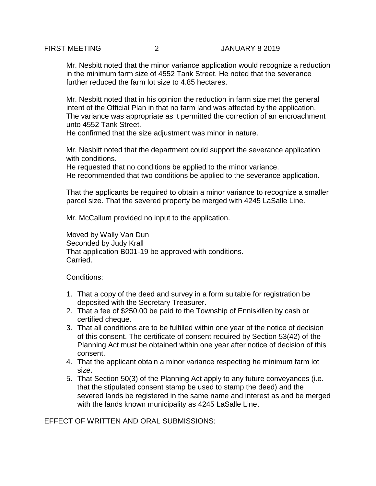Mr. Nesbitt noted that the minor variance application would recognize a reduction in the minimum farm size of 4552 Tank Street. He noted that the severance further reduced the farm lot size to 4.85 hectares.

Mr. Nesbitt noted that in his opinion the reduction in farm size met the general intent of the Official Plan in that no farm land was affected by the application. The variance was appropriate as it permitted the correction of an encroachment unto 4552 Tank Street.

He confirmed that the size adjustment was minor in nature.

Mr. Nesbitt noted that the department could support the severance application with conditions.

He requested that no conditions be applied to the minor variance. He recommended that two conditions be applied to the severance application.

That the applicants be required to obtain a minor variance to recognize a smaller parcel size. That the severed property be merged with 4245 LaSalle Line.

Mr. McCallum provided no input to the application.

Moved by Wally Van Dun Seconded by Judy Krall That application B001-19 be approved with conditions. Carried.

Conditions:

- 1. That a copy of the deed and survey in a form suitable for registration be deposited with the Secretary Treasurer.
- 2. That a fee of \$250.00 be paid to the Township of Enniskillen by cash or certified cheque.
- 3. That all conditions are to be fulfilled within one year of the notice of decision of this consent. The certificate of consent required by Section 53(42) of the Planning Act must be obtained within one year after notice of decision of this consent.
- 4. That the applicant obtain a minor variance respecting he minimum farm lot size.
- 5. That Section 50(3) of the Planning Act apply to any future conveyances (i.e. that the stipulated consent stamp be used to stamp the deed) and the severed lands be registered in the same name and interest as and be merged with the lands known municipality as 4245 LaSalle Line.

EFFECT OF WRITTEN AND ORAL SUBMISSIONS: